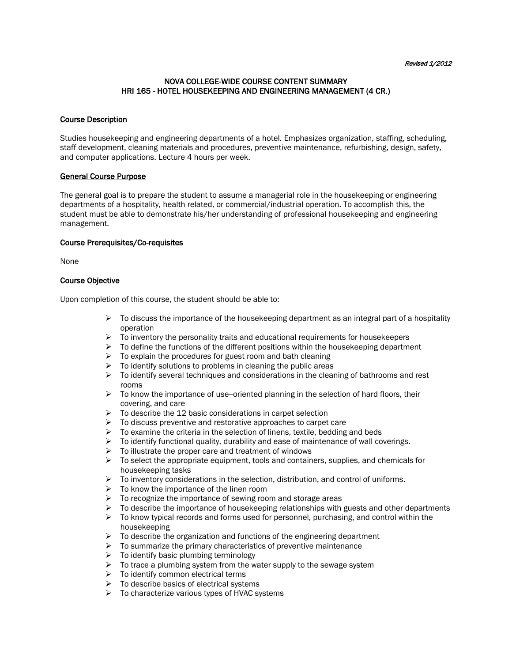# NOVA COLLEGE-WIDE COURSE CONTENT SUMMARY HRI 165 - HOTEL HOUSEKEEPING AND ENGINEERING MANAGEMENT (4 CR.)

### Course Description

Studies housekeeping and engineering departments of a hotel. Emphasizes organization, staffing, scheduling, staff development, cleaning materials and procedures, preventive maintenance, refurbishing, design, safety, and computer applications. Lecture 4 hours per week.

#### General Course Purpose

The general goal is to prepare the student to assume a managerial role in the housekeeping or engineering departments of a hospitality, health related, or commercial/industrial operation. To accomplish this, the student must be able to demonstrate his/her understanding of professional housekeeping and engineering management.

#### Course Prerequisites/Co-requisites

None

# Course Objective

Upon completion of this course, the student should be able to:

- $\triangleright$  To discuss the importance of the housekeeping department as an integral part of a hospitality operation
- $\triangleright$  To inventory the personality traits and educational requirements for housekeepers
- $\triangleright$  To define the functions of the different positions within the housekeeping department
- $\triangleright$  To explain the procedures for guest room and bath cleaning
- $\triangleright$  To identify solutions to problems in cleaning the public areas
- $\triangleright$  To identify several techniques and considerations in the cleaning of bathrooms and rest rooms
- $\triangleright$  To know the importance of use--oriented planning in the selection of hard floors, their covering, and care
- $\triangleright$  To describe the 12 basic considerations in carpet selection
- $\triangleright$  To discuss preventive and restorative approaches to carpet care
- $\triangleright$  To examine the criteria in the selection of linens, textile, bedding and beds
- $\triangleright$  To identify functional quality, durability and ease of maintenance of wall coverings.
- $\triangleright$  To illustrate the proper care and treatment of windows
- $\triangleright$  To select the appropriate equipment, tools and containers, supplies, and chemicals for housekeeping tasks
- $\triangleright$  To inventory considerations in the selection, distribution, and control of uniforms.
- $\triangleright$  To know the importance of the linen room
- $\triangleright$  To recognize the importance of sewing room and storage areas
- $\triangleright$  To describe the importance of housekeeping relationships with guests and other departments
- $\triangleright$  To know typical records and forms used for personnel, purchasing, and control within the housekeeping
- $\triangleright$  To describe the organization and functions of the engineering department
- $\triangleright$  To summarize the primary characteristics of preventive maintenance
- $\triangleright$  To identify basic plumbing terminology
- $\triangleright$  To trace a plumbing system from the water supply to the sewage system
- $\triangleright$  To identify common electrical terms
- $\triangleright$  To describe basics of electrical systems
- $\triangleright$  To characterize various types of HVAC systems